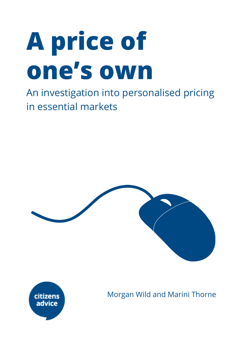# **A price of one's own**

An investigation into personalised pricing in essential markets





Morgan Wild and Marini Thorne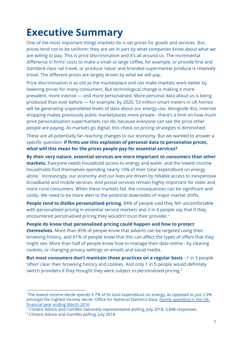### **Executive Summary**

One of the most important things markets do is set prices for goods and services. But, prices tend not to be uniform: they are set in part by what companies know about what we are willing to pay. This is price discrimination and it's all around us. The incremental difference in firms' costs to make a small or large coffee, for example, or provide first and standard class rail travel, or produce 'value' and branded supermarket produce is relatively trivial. The different prices are largely driven by what we will pay.

Price discrimination is as old as the marketplace and *can* make markets work better by lowering prices for many consumers. But technological change is making it more prevalent, more intense — and more personalised. More personal data about us is being produced than ever before — for example, by 2020, 53 million smart meters in UK homes will be generating unparalleled levels of data about our energy use. Alongside this, internet shopping makes previously public marketplaces more private - there's a limit on how much price personalisation supermarkets can do, because everyone can see the price other people are paying. As markets go digital, this check on pricing strategies is diminished.

These are all potentially far-reaching changes to our economy. But we wanted to answer a specific question: **if firms use this explosion of personal data to personalise prices, what will this mean for the prices people pay for essential services?**

**By their very nature, essential services are more important to consumers than other markets.** Everyone needs household access to energy and water, and the lowest income households find themselves spending nearly 10% of their total expenditure on energy alone.<sup>1</sup> Increasingly, our economy and our lives are driven by reliable access to inexpensive broadband and mobile services. And postal services remain highly important for older and more rural consumers. When these markets fail, the consequences can be significant and costly. We need to be more alert to the potential downsides of major market shifts.

**People tend to dislike personalised pricing.** 84% of people said they felt uncomfortable with personalised pricing in essential service markets and 3 in 4 people say that if they encountered personalised pricing they wouldn't trust their provider. 2

**People do know that personalised pricing could happen and how to protect themselves.** More than 85% of people know that adverts can be targeted using their browsing history, and 61% of people know that this can affect the types of offers that they might see. More than half of people know how to manage their data online - by clearing cookies, or changing privacy settings on emails and social media.

**But most consumers don't maintain these practices on a regular basis** - 1 in 3 people 'often' clear their browsing history and cookies. And only 1 in 5 people would definitely switch providers if they thought they were subject to personalised pricing.<sup>3</sup>

<sup>1</sup>The lowest income decile spends 9.7% of its total expenditure on energy, as opposed to just 2.9% amongst the highest income decile. Office for National Statistics Data, Family [spending](https://www.ons.gov.uk/peoplepopulationandcommunity/personalandhouseholdfinances/expenditure/bulletins/familyspendingintheuk/financialyearendingmarch2016) in the UK: [financial](https://www.ons.gov.uk/peoplepopulationandcommunity/personalandhouseholdfinances/expenditure/bulletins/familyspendingintheuk/financialyearendingmarch2016) year ending March 2016.

 $2$  Citizens Advice and ComRes nationally representative polling, July 2018, 2,848 responses.

<sup>&</sup>lt;sup>3</sup> Citizens Advice and ComRes polling, July 2018.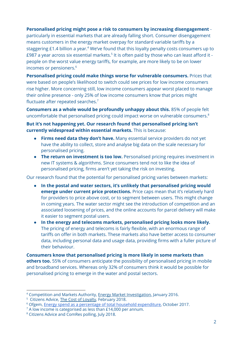#### **Personalised pricing might pose a risk to consumers by increasing disengagement** -

particularly in essential markets that are already falling short. Consumer disengagement means customers in the energy market overpay for standard variable tariffs by a staggering  $£1.4$  billion a year. $4$  We've found that this loyalty penalty costs consumers up to £987 a year across six essential markets. $^5$  It is often paid by those who can least afford it people on the worst value energy tariffs, for example, are more likely to be on lower incomes or pensioners. 6

**Personalised pricing could make things worse for vulnerable consumers.** Prices that were based on people's likelihood to switch could see prices for low income consumers rise higher. More concerning still, low income consumers appear worst placed to manage their online presence - only 25% of low income consumers know that prices might fluctuate after repeated searches.<sup>7</sup>

**Consumers as a whole would be profoundly unhappy about this.** 85% of people felt uncomfortable that personalised pricing could impact worse on vulnerable consumers. 8

**But it's not happening yet. Our research found that personalised pricing isn't currently widespread within essential markets.** This is because:

- **Firms need data they don't have.** Many essential service providers do not yet have the ability to collect, store and analyse big data on the scale necessary for personalised pricing.
- **The return on investment is too low.** Personalised pricing requires investment in new IT systems & algorithms. Since consumers tend not to like the idea of personalised pricing, firms aren't yet taking the risk on investing.

Our research found that the potential for personalised pricing varies between markets:

- **In the postal and water sectors, it's unlikely that personalised pricing would emerge under current price protections.** Price caps mean that it's relatively hard for providers to price above cost, or to segment between users. This might change in coming years. The water sector might see the introduction of competition and an associated loosening of prices, and the online accounts for parcel delivery will make it easier to segment postal users.
- **In the energy and telecoms markets, personalised pricing looks more likely.** The pricing of energy and telecoms is fairly flexible, with an enormous range of tariffs on offer in both markets. These markets also have better access to consumer data, including personal data and usage data, providing firms with a fuller picture of their behaviour.

**Consumers know that personalised pricing is more likely in some markets than others too.** 55% of consumers anticipate the possibility of personalised pricing in mobile and broadband services. Whereas only 32% of consumers think it would be possible for personalised pricing to emerge in the water and postal sectors.

<sup>4</sup> Competition and Markets Authority, Energy Market [Investigation,](https://www.gov.uk/cma-cases/energy-market-investigation) January 2016.

<sup>&</sup>lt;sup>5</sup> Citizens Advice, The Cost of Lovalty, February 2018.

<sup>&</sup>lt;sup>6</sup> Ofgem, **Energy spend as a percentage of total household expenditure**, October 2017.

<sup>&</sup>lt;sup>7</sup> A low income is categorised as less than £14,000 per annum.

<sup>8</sup> Citizens Advice and ComRes polling, July 2018.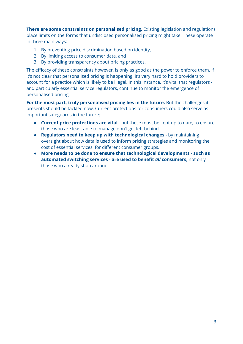**There are some constraints on personalised pricing.** Existing legislation and regulations place limits on the forms that undisclosed personalised pricing might take. These operate in three main ways:

- 1. By preventing price discrimination based on identity,
- 2. By limiting access to consumer data, and
- 3. By providing transparency about pricing practices.

The efficacy of these constraints however, is only as good as the power to enforce them. If it's not clear that personalised pricing is happening, it's very hard to hold providers to account for a practice which is likely to be illegal. In this instance, it's vital that regulators and particularly essential service regulators, continue to monitor the emergence of personalised pricing.

**For the most part, truly personalised pricing lies in the future.** But the challenges it presents should be tackled now. Current protections for consumers could also serve as important safeguards in the future:

- **Current price protections are vital** but these must be kept up to date, to ensure those who are least able to manage don't get left behind.
- **Regulators need to keep up with technological changes** by maintaining oversight about how data is used to inform pricing strategies and monitoring the cost of essential services for different consumer groups.
- **More needs to be done to ensure that technological developments - such as automated switching services - are used to benefit** *all* **consumers,** not only those who already shop around.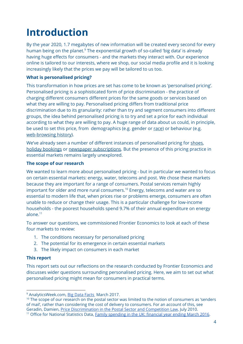### **Introduction**

By the year 2020, 1.7 megabytes of new information will be created every second for every human being on the planet.<sup>9</sup> The exponential growth of so-called 'big data' is already having huge effects for consumers - and the markets they interact with. Our experience online is tailored to our interests, where we shop, our social media profile and it is looking increasingly likely that the prices we pay will be tailored to us too.

#### **What is personalised pricing?**

This transformation in how prices are set has come to be known as 'personalised pricing'. Personalised pricing is a sophisticated form of price discrimination - the practice of charging different consumers different prices for the same goods or services based on what they are willing to pay. Personalised pricing differs from traditional price discrimination due to its granularity: rather than try and segment consumers into different groups, the idea behind personalised pricing is to try and set a price for each individual according to what they are willing to pay. A huge range of data about us could, in principle, be used to set this price, from demographics (e.g. gender or [race\)](http://benjaminshiller.com/images/First_Degree_PD_Using_Big_Data_Jan_27,_2014.pdf) or behaviour (e.g. [web-browsing](http://review.chicagobooth.edu/marketing/2018/article/are-you-ready-personalized-pricing) history).

We've already seen a number of different instances of personalised pricing for [shoes,](http://review.chicagobooth.edu/marketing/2018/article/are-you-ready-personalized-pricing) holiday [bookings](https://news.northeastern.edu/2014/10/23/ecommerce-study/) or newspaper [subscriptions](http://blogs.reuters.com/felix-salmon/2013/09/03/why-the-internet-is-perfect-for-price-discrimination/). But the presence of this pricing practice in essential markets remains largely unexplored.

#### **The scope of our research**

We wanted to learn more about personalised pricing - but in particular we wanted to focus on certain essential markets: energy, water, telecoms and post. We chose these markets because they are important for a range of consumers. Postal services remain highly important for older and more rural consumers.<sup>10</sup> Energy, telecoms and water are so essential to modern life that, when prices rise or problems emerge, consumers are often unable to reduce or change their usage. This is a particular challenge for low-income households - the poorest households spend 9.7% of their annual expenditure on energy alone. 11

To answer our questions, we commissioned Frontier Economics to look at each of these four markets to review:

- 1. The conditions necessary for personalised pricing
- 2. The potential for its emergence in certain essential markets
- 3. The likely impact on consumers in each market

#### **This report**

This report sets out our reflections on the research conducted by Frontier Economics and discusses wider questions surrounding personalised pricing. Here, we aim to set out what personalised pricing might mean for consumers in practical terms.

<sup>10</sup> The scope of our research on the postal sector was limited to the notion of consumers as 'senders of mail', rather than considering the cost of delivery to consumers. For an account of this, see Geradin, Damien, Price [Discrimination](https://papers.ssrn.com/sol3/papers.cfm?abstract_id=1645876) in the Postal Sector and Competition Law, July 2010.

<sup>&</sup>lt;sup>9</sup> AnalyticsWeek.com, Big Data [Facts](https://analyticsweek.com/content/big-data-facts/) March 2017.

<sup>&</sup>lt;sup>11</sup> Office for National Statistics Data, Family [spending](https://www.ons.gov.uk/peoplepopulationandcommunity/personalandhouseholdfinances/expenditure/bulletins/familyspendingintheuk/financialyearendingmarch2016) in the UK: financial year ending March 2016.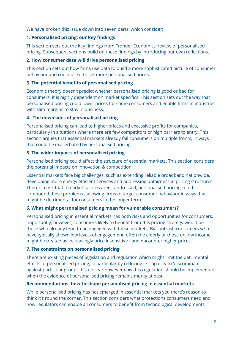We have broken this issue down into seven parts, which consider:

### **1. Personalised pricing: our key findings**

This section sets out the key findings from Frontier Economics' review of personalised pricing. Subsequent sections build on these findings by introducing our own reflections.

### **2. How consumer data will drive personalised pricing**

This section sets out how firms use data to build a more sophisticated picture of consumer behaviour and could use it to set more personalised prices.

### **3. The potential benefits of personalised pricing**

Economic theory doesn't predict whether personalised pricing is good or bad for consumers: it is highly dependent on market specifics. This section sets out the way that personalised pricing could lower prices for some consumers and enable firms in industries with slim margins to stay in business.

### **4. The downsides of personalised pricing**

Personalised pricing can lead to higher prices and excessive profits for companies, particularly in situations where there are few competitors or high barriers to entry. This section argues that essential markets already fail consumers on multiple fronts, in ways that could be exacerbated by personalised pricing.

### **5. The wider impacts of personalised pricing**

Personalised pricing could affect the structure of essential markets. This section considers the potential impacts on innovation & competition.

Essential markets face big challenges, such as extending reliable broadband nationwide, developing more energy efficient services and addressing unfairness in pricing structures. There's a risk that if market failures aren't addressed, personalised pricing could compound these problems - allowing firms to target consumer behaviour in ways that might be detrimental for consumers in the longer term.

### **6. What might personalised pricing mean for vulnerable consumers?**

Personalised pricing in essential markets has both risks and opportunities for consumers. Importantly, however, consumers likely to benefit from this pricing strategy would be those who already tend to be engaged with these markets. By contrast, consumers who have typically shown low levels of engagement, often the elderly or those on low income, might be treated as increasingly price insensitive - and encounter higher prices.

### **7. The constraints on personalised pricing**

There are existing pieces of legislation and regulation which might limit the detrimental effects of personalised pricing, in particular by reducing its capacity to 'discriminate' against particular groups. It's unclear however *how* this regulation should be implemented, when the evidence of personalised pricing remains murky at best.

### **Recommendations: how to shape personalised pricing in essential markets**

While personalised pricing has not emerged in essential markets yet, there's reason to think it's round the corner. This section considers what protections consumers need and how regulators can enable all consumers to benefit from technological developments.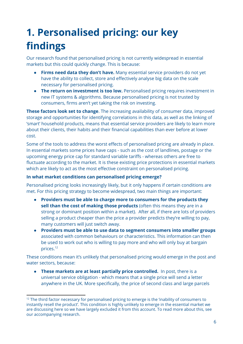# **1. Personalised pricing: our key findings**

Our research found that personalised pricing is not currently widespread in essential markets but this could quickly change. This is because:

- **Firms need data they don't have.** Many essential service providers do not yet have the ability to collect, store and effectively analyse big data on the scale necessary for personalised pricing.
- **The return on investment is too low.** Personalised pricing requires investment in new IT systems & algorithms. Because personalised pricing is not trusted by consumers, firms aren't yet taking the risk on investing.

**These factors look set to change**. The increasing availability of consumer data, improved storage and opportunities for identifying correlations in this data, as well as the linking of 'smart' household products, means that essential service providers are likely to learn more about their clients, their habits and their financial capabilities than ever before at lower cost.

Some of the tools to address the worst effects of personalised pricing are already in place. In essential markets some prices have caps - such as the cost of landlines, postage or the upcoming energy price cap for standard variable tariffs - whereas others are free to fluctuate according to the market. It is these existing price protections in essential markets which are likely to act as the most effective constraint on personalised pricing.

### **In what market conditions can personalised pricing emerge?**

Personalised pricing looks increasingly likely, but it only happens if certain conditions are met. For this pricing strategy to become widespread, two main things are important:

- **Providers must be able to charge more to consumers for the products they sell than the cost of making those products** (often this means they are in a strong or dominant position within a market). After all, if there are lots of providers selling a product cheaper than the price a provider predicts they're willing to pay, many customers will just switch away.
- **Providers must be able to use data to segment consumers into smaller groups** associated with common behaviours or characteristics. This information can then be used to work out who is willing to pay more and who will only buy at bargain prices. 12

These conditions mean it's unlikely that personalised pricing would emerge in the post and water sectors, because:

● **These markets are at least partially price controlled.** In post, there is a universal service obligation - which means that a single price will send a letter anywhere in the UK. More specifically, the price of second class and large parcels

<sup>&</sup>lt;sup>12</sup> The third factor necessary for personalised pricing to emerge is the 'inability of consumers to instantly resell the product'. This condition is highly unlikely to emerge in the essential market we are discussing here so we have largely excluded it from this account. To read more about this, see our accompanying research.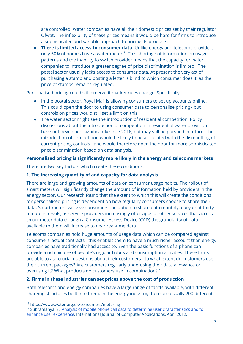are controlled. Water companies have all their domestic prices set by their regulator Ofwat. The inflexibility of these prices means it would be hard for firms to introduce a sophisticated and variable approach to pricing its products.

● **There is limited access to consumer data.** Unlike energy and telecoms providers, only 50% of homes have a water meter.<sup>13</sup> This shortage of information on usage patterns and the inability to switch provider means that the capacity for water companies to introduce a greater degree of price discrimination is limited. The postal sector usually lacks access to consumer data. At present the very act of purchasing a stamp and posting a letter is blind to which consumer does it, as the price of stamps remains regulated.

Personalised pricing could still emerge if market rules change. Specifically:

- In the postal sector, Royal Mail is allowing consumers to set up accounts online. This could open the door to using consumer data to personalise pricing - but controls on prices would still set a limit on this.
- The water sector might see the introduction of residential competition. Policy discussions about the introduction of competition in residential water provision have not developed significantly since 2016, but may still be pursued in future. The introduction of competition would be likely to be associated with the dismantling of current pricing controls - and would therefore open the door for more sophisticated price discrimination based on data analysis.

### **Personalised pricing is significantly more likely in the energy and telecoms markets**

There are two key factors which create these conditions:

### **1. The increasing quantity of and capacity for data analysis**

There are large and growing amounts of data on consumer usage habits. The rollout of smart meters will significantly change the amount of information held by providers in the energy sector. Our research found that the extent to which this will create the conditions for personalised pricing is dependent on how regularly consumers choose to share their data. Smart meters will give consumers the option to share data monthly, daily or at thirty minute intervals, as service providers increasingly offer apps or other services that access smart meter data through a Consumer Access Device (CAD) the granularity of data available to them will increase to near real-time data

Telecoms companies hold huge amounts of usage data which can be compared against consumers' actual contracts - this enables them to have a much richer account than energy companies have traditionally had access to. Even the basic functions of a phone can provide a rich picture of people's regular habits and consumption activities. These firms are able to ask crucial questions about their customers - to what extent do customers use their current packages? Are customers regularly underusing their data allowance or overusing it? What products do customers use in combination?<sup>14</sup>

#### **2. Firms in these industries can set prices above the cost of production**

Both telecoms and energy companies have a large range of tariffs available, with different charging structures built into them. In the energy industry, there are usually 200 different

<sup>13</sup> https://www.water.org.uk/consumers/metering

<sup>&</sup>lt;sup>14</sup> Subramanya, S., Analysis of mobile phone call data to determine user [characteristics](https://www.researchgate.net/publication/260553625_Analysis_of_Mobile_Phone_Call_Data_to_Determine_User_Characteristics_and_to_Enhance_User_Experience) and to enhance user [experience](https://www.researchgate.net/publication/260553625_Analysis_of_Mobile_Phone_Call_Data_to_Determine_User_Characteristics_and_to_Enhance_User_Experience), International Journal of Computer Applications, April 2012.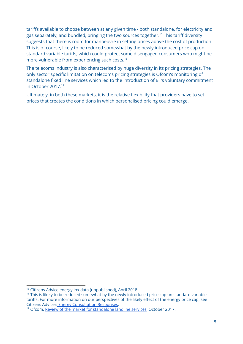tariffs available to choose between at any given time - both standalone, for electricity and gas separately, and bundled, bringing the two sources together.<sup>15</sup> This tariff diversity suggests that there is room for manoeuvre in setting prices above the cost of production. This is of course, likely to be reduced somewhat by the newly introduced price cap on standard variable tariffs, which could protect some disengaged consumers who might be more vulnerable from experiencing such costs. 16

The telecoms industry is also characterised by huge diversity in its pricing strategies. The only sector specific limitation on telecoms pricing strategies is Ofcom's monitoring of standalone fixed line services which led to the introduction of BT's voluntary commitment in October 2017. 17

Ultimately, in both these markets, it is the relative flexibility that providers have to set prices that creates the conditions in which personalised pricing could emerge.

<sup>15</sup> Citizens Advice energylinx data (unpublished), April 2018.

<sup>&</sup>lt;sup>16</sup> This is likely to be reduced somewhat by the newly introduced price cap on standard variable tariffs. For more information on our perspectives of the likely effect of the energy price cap, see Citizens Advice's Energy [Consultation](https://www.citizensadvice.org.uk/about-us/policy/policy-research-topics/energy-policy-research-and-consultation-responses/energy-consultation-responses/) Responses.

<sup>&</sup>lt;sup>17</sup> Ofcom, Review of the market for [standalone](https://www.ofcom.org.uk/__data/assets/pdf_file/0015/107322/standalone-landline-statement.pdf) landline services, October 2017.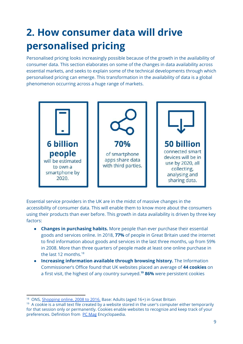# **2. How consumer data will drive personalised pricing**

Personalised pricing looks increasingly possible because of the growth in the availability of consumer data. This section elaborates on some of the changes in data availability across essential markets, and seeks to explain some of the technical developments through which personalised pricing can emerge. This transformation in the availability of data is a global phenomenon occurring across a huge range of markets.



Essential service providers in the UK are in the midst of massive changes in the accessibility of consumer data. This will enable them to know more about the consumers using their products than ever before. This growth in data availability is driven by three key factors:

- **Changes in purchasing habits.** More people than ever purchase their essential goods and services online. In 2018, **77%** of people in Great Britain used the internet to find information about goods and services in the last three months, up from 59% in 2008. More than three quarters of people made at least one online purchase in the last 12 months. 18
- **Increasing information available through browsing history.** The Information Commissioner's Office found that UK websites placed an average of **44 cookies** on a first visit, the highest of any country surveyed.<sup>19</sup> 86% were persistent cookies

<sup>&</sup>lt;sup>18</sup> ONS, [Shopping](https://www.ons.gov.uk/peoplepopulationandcommunity/householdcharacteristics/homeinternetandsocialmediausage/bulletins/internetaccesshouseholdsandindividuals/2018) online, 2008 to 2016. Base: Adults (aged 16+) in Great Britain

<sup>&</sup>lt;sup>19</sup> A cookie is a small text file created by a website stored in the user's computer either temporarily for that session only or permanently. Cookies enable websites to recognize and keep track of your preferences. Definition from PC [Mag](https://www.pcmag.com/encyclopedia/term/40334/cookie) Encyclopaedia.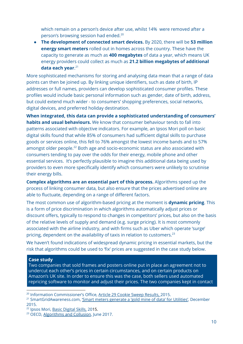which remain on a person's device after use, whilst 14% were removed after a person's browsing session had ended. 20

● **The development of connected smart devices.** By 2020, there will be **53 million energy smart meters** rolled out in homes across the country. These have the capacity to generate as much as **400 megabytes** of data a year, which means UK energy providers could collect as much as **21.2 billion megabytes of additional data each year**. 21

More sophisticated mechanisms for storing and analysing data mean that a range of data points can then be joined up. By linking unique identifiers, such as date of birth, IP addresses or full names, providers can develop sophisticated consumer profiles. These profiles would include basic personal information such as gender, date of birth, address, but could extend much wider - to consumers' shopping preferences, social networks, digital devices, and preferred holiday destination.

**When integrated, this data can provide a sophisticated understanding of consumers' habits and usual behaviours.** We know that consumer behaviour tends to fall into patterns associated with objective indicators. For example, an Ipsos Mori poll on basic digital skills found that while 85% of consumers had sufficient digital skills to purchase goods or services online, this fell to 76% amongst the lowest income bands and to 57% amongst older people. $^{22}$  Both age and socio-economic status are also associated with consumers tending to pay over the odds for their energy, mobile phone and other essential services. It's perfectly plausible to imagine this additional data being used by providers to even more specifically identify which consumers were unlikely to scrutinise their energy bills.

**Complex algorithms are an essential part of this process.** Algorithms speed up the process of linking consumer data, but also ensure that the prices advertised online are able to fluctuate, depending on a range of different factors.

The most common use of algorithm-based pricing at the moment is **dynamic pricing**. This is a form of price discrimination in which algorithms automatically adjust prices or discount offers, typically to respond to changes in competitors' prices, but also on the basis of the relative levels of supply and demand (e.g. surge pricing). It is most commonly associated with the airline industry, and with firms such as Uber which operate 'surge' pricing, dependent on the availability of taxis in relation to customers.<sup>23</sup>

We haven't found indications of widespread dynamic pricing in essential markets, but the risk that algorithms could be used to 'fix' prices are suggested in the case study below.

#### **Case study**

Two companies that sold frames and posters online put in place an agreement not to undercut each other's prices in certain circumstances, and on certain products on Amazon's UK site. In order to ensure this was the case, both sellers used automated repricing software to monitor and adjust their prices. The two companies kept in contact

<sup>22</sup> Ipsos Mori, Basic [Digital](https://s3-eu-west-1.amazonaws.com/digitalbirmingham/resources/Basic-Digital-Skills_UK-Report-2015_131015_FINAL.pdf) Skills, 2015.

<sup>&</sup>lt;sup>20</sup> Information Commissioner's Office, Article 29 Cookie Sweep [Results,](https://ico.org.uk/media/about-the-ico/documents/1043274/a29-cookie-sweep-combined-analysis-report.pdf) 2015.

<sup>&</sup>lt;sup>21</sup> SmartGridAwareness.com, 'Smart meters [generate](https://smartgridawareness.org/2015/12/31/smart-meters-generate-gold-mine-of-data/) a 'gold mine of data' for Utilities', December 2015.

<sup>&</sup>lt;sup>23</sup> OECD, [Algorithms](https://one.oecd.org/document/DAF/COMP/WD(2017)19/en/pdf) and Collusion, June 2017.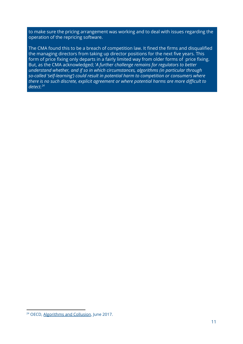to make sure the pricing arrangement was working and to deal with issues regarding the operation of the repricing software.

The CMA found this to be a breach of competition law. It fined the firms and disqualified the managing directors from taking up director positions for the next five years. This form of price fixing only departs in a fairly limited way from older forms of price fixing. But, as the CMA acknowledged; '*A further challenge remains for regulators to better understand whether, and if so in which circumstances, algorithms (in particular through so-called 'self-learning') could result in potential harm to competition or consumers where there is no such discrete, explicit agreement or where potential harms are more difficult to detect. 24*

<sup>&</sup>lt;sup>24</sup> OECD, [Algorithms](https://one.oecd.org/document/DAF/COMP/WD(2017)19/en/pdf) and Collusion, June 2017.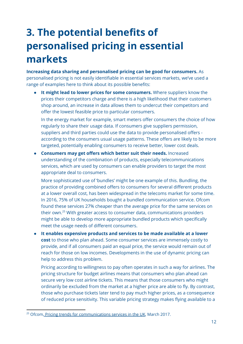# **3. The potential benefits of personalised pricing in essential markets**

**Increasing data sharing and personalised pricing can be good for consumers.** As personalised pricing is not easily identifiable in essential services markets, we've used a range of examples here to think about its possible benefits:

**● It might lead to lower prices for some consumers.** Where suppliers know the prices their competitors charge and there is a high likelihood that their customers shop around, an increase in data allows them to undercut their competitors and offer the lowest feasible price to particular consumers.

In the energy market for example, smart meters offer consumers the choice of how regularly to share their usage data. If consumers give suppliers permission, suppliers and third parties could use the data to provide personalised offers according to the consumers usual usage patterns. These offers are likely to be more targeted, potentially enabling consumers to receive better, lower cost deals.

● **Consumers may get offers which better suit their needs.** Increased understanding of the combination of products, especially telecommunications services, which are used by consumers can enable providers to target the most appropriate deal to consumers.

More sophisticated use of 'bundles' might be one example of this. Bundling, the practice of providing combined offers to consumers for several different products at a lower overall cost, has been widespread in the telecoms market for some time. In 2016, 75% of UK households bought a bundled communication service. Ofcom found these services 27% cheaper than the average price for the same services on their own.<sup>25</sup> With greater access to consumer data, communications providers might be able to develop more appropriate bundled products which specifically meet the usage needs of different consumers.

● **It enables expensive products and services to be made available at a lower cost** to those who plan ahead. Some consumer services are immensely costly to provide, and if all consumers paid an equal price, the service would remain out of reach for those on low incomes. Developments in the use of dynamic pricing can help to address this problem.

Pricing according to willingness to pay often operates in such a way for airlines. The pricing structure for budget airlines means that consumers who plan ahead can secure very low cost airline tickets. This means that those consumers who might ordinarily be excluded from the market at a higher price are able to fly. By contrast, those who purchase tickets later tend to pay much higher prices, as a consequence of reduced price sensitivity. This variable pricing strategy makes flying available to a

<sup>&</sup>lt;sup>25</sup> Ofcom, Pricing trends for [communications](https://www.ofcom.org.uk/__data/assets/pdf_file/0028/98605/Pricing-report-2017.pdf) services in the UK, March 2017.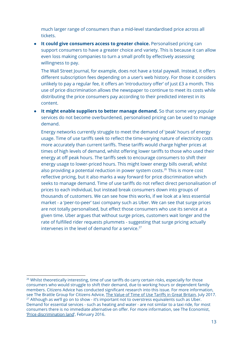much larger range of consumers than a mid-level standardised price across all tickets.

**● It could give consumers access to greater choice.** Personalised pricing can support consumers to have a greater choice and variety. This is because it can allow even loss making companies to turn a small profit by effectively assessing willingness to pay.

The Wall Street Journal, for example, does not have a total paywall. Instead, it offers different subscription fees depending on a user's web history. For those it considers unlikely to pay a regular fee, it offers an 'introductory offer' of just £3 a month. This use of price discrimination allows the newspaper to continue to meet its costs while distributing the price consumers pay according to their predicted interest in its content.

● **It might enable suppliers to better manage demand.** So that some very popular services do not become overburdened, personalised pricing can be used to manage demand.

Energy networks currently struggle to meet the demand of 'peak' hours of energy usage. Time of use tariffs seek to reflect the time-varying nature of electricity costs more accurately than current tariffs. These tariffs would charge higher prices at times of high levels of demand, whilst offering lower tariffs to those who used their energy at off peak hours. The tariffs seek to encourage consumers to shift their energy usage to lower-priced hours. This might lower energy bills overall, whilst also providing a potential reduction in power system costs. $^{26}$  This is more cost reflective pricing, but it also marks a way forward for price discrimination which seeks to manage demand. Time of use tariffs do not reflect direct personalisation of prices to each individual, but instead break consumers down into groups of thousands of customers. We can see how this works, if we look at a less essential market - a 'peer-to-peer' taxi company such as Uber. We can see that surge prices are not totally personalised, but effect those consumers who use its service at a given time. Uber argues that without surge prices, customers wait longer and the rate of fulfilled rider requests plummets - suggesting that surge pricing actually intervenes in the level of demand for a service. 27

<sup>&</sup>lt;sup>26</sup> Whilst theoretically interesting, time of use tariffs do carry certain risks, especially for those consumers who would struggle to shift their demand, due to working hours or dependent family members. Citizens Advice has conducted significant research into this issue. For more information, see The Brattle Group for Citizens Advice, The Value of Time of Use Tariffs in Great [Britain,](https://www.citizensadvice.org.uk/about-us/policy/policy-research-topics/energy-policy-research-and-consultation-responses/energy-policy-research/the-value-of-time-of-use-tariffs-in-great-britain/) July 2017. <sup>27</sup> Although as we'll go on to show - it's important not to overstress equivalents such as Uber. Demand for essential services - such as heating and water - are not similar to a taxi ride, for most consumers there is no immediate alternative on offer. For more information, see The Economist, 'Price [discrimination](https://www.economist.com/blogs/freeexchange/2016/02/price-discrimination-land) land', February 2016.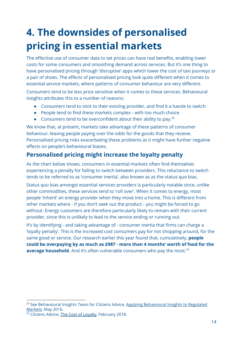# **4. The downsides of personalised pricing in essential markets**

The effective use of consumer data to set prices can have real benefits, enabling lower costs for some consumers and smoothing demand across services. But it's one thing to have personalised pricing through 'disruptive' apps which lower the cost of taxi journeys or a pair of shoes. The effects of personalised pricing look quite different when it comes to essential service markets, where patterns of consumer behaviour are very different.

Consumers tend to be less price sensitive when it comes to these services. Behavioural insights attributes this to a number of reasons:

- Consumers tend to stick to their existing provider, and find it a hassle to switch
- People tend to find these markets complex with too much choice
- Consumers tend to be overconfident about their ability to pay. $^{28}$

We know that, at present, markets take advantage of these patterns of consumer behaviour, leaving people paying over the odds for the goods that they receive. Personalised pricing risks exacerbating these problems as it might have further negative effects on people's behavioural biases.

### **Personalised pricing might increase the loyalty penalty**

As the chart below shows, consumers in essential markets often find themselves experiencing a penalty for failing to switch between providers. This reluctance to switch tends to be referred to as 'consumer inertia', also known as as the status quo bias.

Status quo bias amongst essential services providers is particularly notable since, unlike other commodities, these services tend to 'roll over'. When it comes to energy, most people 'inherit' an energy provider when they move into a home. This is different from other markets where - if you don't seek out the product - you might be forced to go without. Energy customers are therefore particularly likely to remain with their current provider, since this is unlikely to lead to the service ending or running out.

It's by identifying - and taking advantage of - consumer inertia that firms can charge a 'loyalty penalty'. This is the increased cost consumers pay for not shopping around, for the same good or service. Our research earlier this year found that, cumulatively, **people could be overpaying by as much as £987 - more than 4 months' worth of food for the average household.** And it's often vulnerable consumers who pay the most. 29

<sup>&</sup>lt;sup>28</sup> See [Behavioural](http://www.behaviouralinsights.co.uk/consumer-affairs/applying-behavioural-insights-to-regulated-markets/) Insights Team for Citizens Advice, Applying Behavioural Insights to Regulated [Markets,](http://www.behaviouralinsights.co.uk/consumer-affairs/applying-behavioural-insights-to-regulated-markets/) May 2016.

<sup>&</sup>lt;sup>29</sup> Citizens Advice, The Cost of [Loyalty](https://www.citizensadvice.org.uk/about-us/policy/policy-research-topics/consumer-policy-research/consumer-policy-research/the-cost-of-loyalty-exploring-how-long-standing-customers-pay-more-for-essential-services/), February 2018.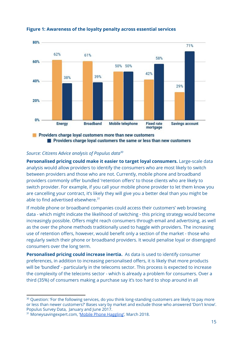

#### **Figure 1: Awareness of the loyalty penalty across essential services**

#### *Source: Citizens Advice analysis of Populus data 30*

**Personalised pricing could make it easier to target loyal consumers.** Large-scale data analysis would allow providers to identify the consumers who are most likely to switch between providers and those who are not. Currently, mobile phone and broadband providers commonly offer bundled 'retention offers' to those clients who are likely to switch provider. For example, if you call your mobile phone provider to let them know you are cancelling your contract, it's likely they will give you a better deal than you might be able to find advertised elsewhere. 31

If mobile phone or broadband companies could access their customers' web browsing data - which might indicate the likelihood of switching - this pricing strategy would become increasingly possible. Offers might reach consumers through email and advertising, as well as the over the phone methods traditionally used to haggle with providers. The increasing use of retention offers, however, would benefit only a section of the market - those who regularly switch their phone or broadband providers. It would penalise loyal or disengaged consumers over the long term.

**Personalised pricing could increase inertia.** As data is used to identify consumer preferences, in addition to increasing personalised offers, it is likely that more products will be 'bundled' - particularly in the telecoms sector. This process is expected to increase the complexity of the telecoms sector - which is already a problem for consumers. Over a third (35%) of consumers making a purchase say it's too hard to shop around in all

<sup>&</sup>lt;sup>30</sup> Question: 'For the following services, do you think long-standing customers are likely to pay more or less than newer customers?' Bases vary by market and exclude those who answered 'Don't know'. Populus Survey Data, January and June 2017.

<sup>&</sup>lt;sup>31</sup> Moneysavingexpert.com, 'Mobile Phone [Haggling](https://www.moneysavingexpert.com/phones/cut-mobile-tariff)', March 2018.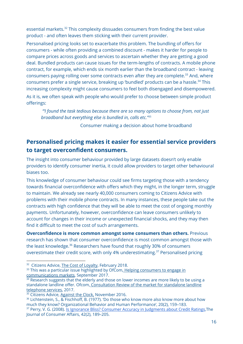essential markets. $32$  This complexity dissuades consumers from finding the best value product - and often leaves them sticking with their current provider.

Personalised pricing looks set to exacerbate this problem. The bundling of offers for consumers - while often providing a combined discount - makes it harder for people to compare prices across goods and services to ascertain whether they are getting a good deal. Bundled products can cause issues for the term-lengths of contracts. A mobile phone contract, for example, which ends six month earlier than the broadband contract - leaving consumers paying rolling over some contracts even after they are complete.<sup>33</sup> And, where consumers prefer a single service, breaking up 'bundled' products can be a hassle.<sup>34</sup> This increasing complexity might cause consumers to feel both disengaged and disempowered.

As it is, we often speak with people who would prefer to choose between simple product offerings:

*'"I found the task tedious because there are so many options to choose from, not just broadband but everything else is bundled in, calls etc."* 35

Consumer making a decision about home broadband

### **Personalised pricing makes it easier for essential service providers to target overconfident consumers.**

The insight into consumer behaviour provided by large datasets doesn't only enable providers to identify consumer inertia, it could allow providers to target other behavioural biases too.

This knowledge of consumer behaviour could see firms targeting those with a tendency towards financial overconfidence with offers which they might, in the longer term, struggle to maintain. We already see nearly 40,000 consumers coming to Citizens Advice with problems with their mobile phone contracts. In many instances, these people take out the contracts with high confidence that they will be able to meet the cost of ongoing monthly payments. Unfortunately, however, overconfidence can leave consumers unlikely to account for changes in their income or unexpected financial shocks, and they may then find it difficult to meet the cost of such arrangements.

**Overconfidence is more common amongst some consumers than others.** Previous research has shown that consumer overconfidence is most common amongst those with the least knowledge. $36$  Researchers have found that roughly 30% of consumers overestimate their credit score, with only 4% underestimating.<sup>37</sup> Personalised pricing

<sup>&</sup>lt;sup>32</sup> Citizens Advice, The Cost of [Loyalty](https://www.citizensadvice.org.uk/about-us/policy/policy-research-topics/consumer-policy-research/consumer-policy-research/the-cost-of-loyalty-exploring-how-long-standing-customers-pay-more-for-essential-services/), February 2018.

<sup>&</sup>lt;sup>33</sup> This was a particular issue highlighted by OfCom, Helping [consumers](https://www.ofcom.org.uk/__data/assets/pdf_file/0022/108445/UKCTA.pdf) to engage in [communications](https://www.ofcom.org.uk/__data/assets/pdf_file/0022/108445/UKCTA.pdf) markets, September 2017.

<sup>&</sup>lt;sup>34</sup> Research suggests that the elderly and those on lower incomes are more likely to be using a standalone landline offer. Ofcom, [Consultation](https://www.ofcom.org.uk/__data/assets/pdf_file/0030/97806/Consultation-Review-of-the-market-for-standalone-landline-telephone-services.pdf) Review of the market for standalone landline [telephone](https://www.ofcom.org.uk/__data/assets/pdf_file/0030/97806/Consultation-Review-of-the-market-for-standalone-landline-telephone-services.pdf) services, 2017.

<sup>&</sup>lt;sup>35</sup> Citizens Advice, [Against](https://www.citizensadvice.org.uk/Global/CitizensAdvice/Consumer%20publications/Finalreport-Againsttheclock.pdf) the Clock, November 2016.

<sup>&</sup>lt;sup>36</sup> Lichtenstein, S., & Fischhoff, B. (1977). 'Do those who know more also know more about how much they know? Organizational Behavior and Human Performance', 20(2), 159–183. <sup>37</sup> Perry, V. G. (2008). Is Ignorance Bliss? Consumer Accuracy in [Judgments](https://onlinelibrary.wiley.com/doi/abs/10.1111/j.1745-6606.2008.00104.x) about Credit Ratings, The Journal of Consumer Affairs, 42(2), 189–205.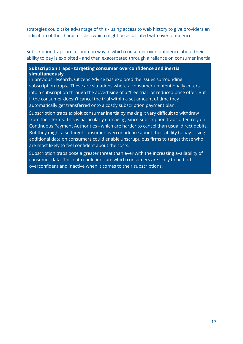strategies could take advantage of this - using access to web history to give providers an indication of the characteristics which might be associated with overconfidence.

Subscription traps are a common way in which consumer overconfidence about their ability to pay is exploited - and then exacerbated through a reliance on consumer inertia.

#### **Subscription traps - targeting consumer overconfidence and inertia simultaneously**

In previous research, Citizens Advice has explored the issues surrounding subscription traps. These are situations where a consumer unintentionally enters into a subscription through the advertising of a "free trial" or reduced price offer. But if the consumer doesn't cancel the trial within a set amount of time they automatically get transferred onto a costly subscription payment plan.

Subscription traps exploit consumer inertia by making it very difficult to withdraw from their terms. This is particularly damaging, since subscription traps often rely on Continuous Payment Authorities - which are harder to cancel than usual direct debits. But they might also target consumer overconfidence about their ability to pay. Using additional data on consumers could enable unscrupulous firms to target those who are most likely to feel confident about the costs.

Subscription traps pose a greater threat than ever with the increasing availability of consumer data. This data could indicate which consumers are likely to be both overconfident and inactive when it comes to their subscriptions.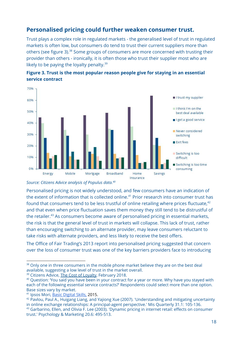### **Personalised pricing could further weaken consumer trust.**

Trust plays a complex role in regulated markets - the generalised level of trust in regulated markets is often low, but consumers do tend to trust their current suppliers more than others (see figure 3).<sup>38</sup> Some groups of consumers are more concerned with trusting their provider than others - ironically, it is often those who trust their supplier most who are likely to be paying the loyalty penalty.<sup>39</sup>

![](_page_18_Figure_2.jpeg)

![](_page_18_Figure_3.jpeg)

Personalised pricing is not widely understood, and few consumers have an indication of the extent of information that is collected online.<sup>41</sup> Prior research into consumer trust has found that consumers tend to be less trustful of online retailing where prices fluctuate, $^{42}$ and that even when price fluctuation saves them money they still tend to be distrustful of the retailer.<sup>43</sup> As consumers become aware of personalised pricing in essential markets, the risk is that the general level of trust in markets will collapse. This lack of trust, rather than encouraging switching to an alternate provider, may leave consumers reluctant to take risks with alternate providers, and less likely to receive the best offers.

The Office of Fair Trading's 2013 report into personalised pricing suggested that concern over the loss of consumer trust was one of the key barriers providers face to introducing

*Source: Citizens Advice analysis of Populus data. 40*

<sup>&</sup>lt;sup>38</sup> Only one in three consumers in the mobile phone market believe they are on the best deal available, suggesting a low level of trust in the market overall.

<sup>&</sup>lt;sup>39</sup> Citizens Advice, The Cost of [Loyalty](https://www.citizensadvice.org.uk/about-us/policy/policy-research-topics/consumer-policy-research/consumer-policy-research/the-cost-of-loyalty-exploring-how-long-standing-customers-pay-more-for-essential-services/), February 2018.

<sup>&</sup>lt;sup>40</sup> Question: 'You said you have been in your contract for a year or more. Why have you stayed with each of the following essential service contracts?' Respondents could select more than one option. Base sizes vary by market.

<sup>41</sup> Ipsos Mori, Basic [Digital](https://s3-eu-west-1.amazonaws.com/digitalbirmingham/resources/Basic-Digital-Skills_UK-Report-2015_131015_FINAL.pdf) Skills, 2015.

<sup>42</sup> Pavlou, Paul A., Huigang Liang, and Yajiong Xue (2007). 'Understanding and mitigating uncertainty in online exchange relationships: A principal-agent perspective.' Mis Quarterly 31.1: 105-136.

<sup>43</sup> Garbarino, Ellen, and Olivia F. Lee (2003). 'Dynamic pricing in internet retail: effects on consumer trust.' Psychology & Marketing 20.6: 495-513.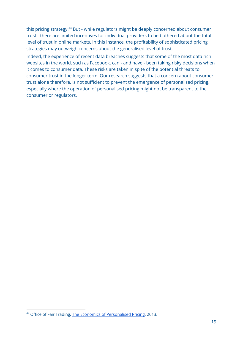this pricing strategy.<sup>44</sup> But - while regulators might be deeply concerned about consumer trust - there are limited incentives for individual providers to be bothered about the total level of trust in online markets. In this instance, the profitability of sophisticated pricing strategies may outweigh concerns about the generalised level of trust.

Indeed, the experience of recent data breaches suggests that some of the most data rich websites in the world, such as Facebook, can - and have - been taking risky decisions when it comes to consumer data. These risks are taken in spite of the potential threats to consumer trust in the longer term. Our research suggests that a concern about consumer trust alone therefore, is not sufficient to prevent the emergence of personalised pricing, especially where the operation of personalised pricing might not be transparent to the consumer or regulators.

<sup>44</sup> Office of Fair Trading, The Economics of [Personalised](http://webarchive.nationalarchives.gov.uk/20140402154756/http://oft.gov.uk/shared_oft/research/oft1488.pdf) Pricing, 2013.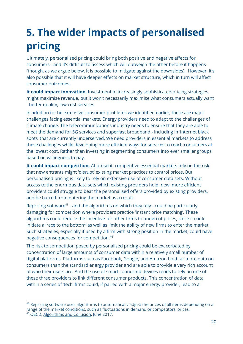# **5. The wider impacts of personalised pricing**

Ultimately, personalised pricing could bring both positive and negative effects for consumers - and it's difficult to assess which will outweigh the other before it happens (though, as we argue below, it is possible to mitigate against the downsides). However, it's also possible that it will have deeper effects on market structure, which in turn will affect consumer outcomes.

**It could impact innovation.** Investment in increasingly sophisticated pricing strategies might maximise revenue, but it won't necessarily maximise what consumers actually want - better quality, low cost services.

In addition to the extensive consumer problems we identified earlier, there are major challenges facing essential markets. Energy providers need to adapt to the challenges of climate change. The telecommunications industry needs to ensure that they are able to meet the demand for 5G services and superfast broadband - including in 'internet black spots' that are currently underserved. We need providers in essential markets to address these challenges while developing more efficient ways for services to reach consumers at the lowest cost. Rather than investing in segmenting consumers into ever smaller groups based on willingness to pay.

**It could impact competition.** At present, competitive essential markets rely on the risk that new entrants might 'disrupt' existing market practices to control prices. But personalised pricing is likely to rely on extensive use of consumer data sets. Without access to the enormous data sets which existing providers hold, new, more efficient providers could struggle to beat the personalised offers provided by existing providers, and be barred from entering the market as a result

Repricing software<sup>45</sup> - and the algorithms on which they rely - could be particularly damaging for competition where providers practice 'instant price matching'. These algorithms could reduce the incentive for other firms to undercut prices, since it could initiate a 'race to the bottom' as well as limit the ability of new firms to enter the market. Such strategies, especially if used by a firm with strong position in the market, could have negative consequences for competition. 46

The risk to competition posed by personalised pricing could be exacerbated by concentration of large amounts of consumer data within a relatively small number of digital platforms. Platforms such as Facebook, Google, and Amazon hold far more data on consumers than the standard energy provider and are able to provide a very rich account of who their users are. And the use of smart connected devices tends to rely on one of these three providers to link different consumer products. This concentration of data within a series of 'tech' firms could, if paired with a major energy provider, lead to a

<sup>&</sup>lt;sup>45</sup> Repricing software uses algorithms to automatically adjust the prices of all items depending on a range of the market conditions, such as fluctuations in demand or competitors' prices. <sup>46</sup> OECD, [Algorithms](https://one.oecd.org/document/DAF/COMP/WD(2017)19/en/pdf) and Collusion, June 2017.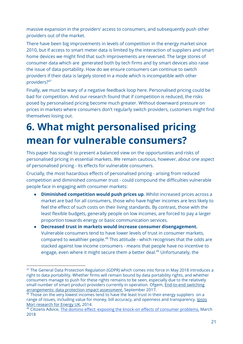massive expansion in the providers' access to consumers, and subsequently push other providers out of the market.

There have been big improvements in levels of competition in the energy market since 2010, but if access to smart meter data is limited by the interaction of suppliers and smart home devices we might find that such improvements are reversed. The large stores of consumer data which are generated both by tech firms and by smart devices also raise the issue of data portability. How do we ensure consumers can continue to switch providers if their data is largely stored in a mode which is incompatible with other providers? 47

Finally, we must be wary of a negative feedback loop here. Personalised pricing could be bad for competition. And our research found that if competition is reduced, the risks posed by personalised pricing become much greater. Without downward pressure on prices in markets where consumers don't regularly switch providers, customers might find themselves losing out.

# **6. What might personalised pricing mean for vulnerable consumers?**

This paper has sought to present a balanced view on the opportunities and risks of personalised pricing in essential markets. We remain cautious, however, about one aspect of personalised pricing - its effects for vulnerable consumers.

Crucially, the most hazardous effects of personalised pricing - arising from reduced competition and diminished consumer trust - could compound the difficulties vulnerable people face in engaging with consumer markets:

- **Diminished competition would push prices up**. Whilst increased prices across a market are bad for all consumers, those who have higher incomes are less likely to feel the effect of such costs on their living standards. By contrast, those with the least flexible budgets, generally people on low incomes, are forced to pay a larger proportion towards energy or basic communication services.
- **Decreased trust in markets would increase consumer disengagement.** Vulnerable consumers tend to have lower levels of trust in consumer markets, compared to wealthier people.<sup>48</sup> This attitude - which recognises that the odds are stacked against low income consumers - means that people have no incentive to engage, even where it might secure them a better deal.<sup>49</sup> Unfortunately, the

<sup>&</sup>lt;sup>47</sup> The General Data Protection Regulation (GDPR) which comes into force in May 2018 introduces a right to data portability. Whether firms will remain bound by data portability rights, and whether consumers manage to push for these rights remains to be seen, especially due to the relatively small number of smart product providers currently in operation. Ofgem, [End-to-end](https://www.ofgem.gov.uk/system/files/docs/2017/09/privacy_impact_assessment.pdf) switching [arrangements:](https://www.ofgem.gov.uk/system/files/docs/2017/09/privacy_impact_assessment.pdf) data protection impact assessment, September 2017.

<sup>&</sup>lt;sup>48</sup> Those on the very lowest incomes tend to have the least trust in their energy suppliers on a range of issues, including value for money, bill accuracy, and openness and transparency. **IDSOS** Mori [research](https://www.ipsos.com/ipsos-mori/en-uk/research-energy-uk) for Energy UK, 2014.

 $49$  Citizens Advice, The domino effect: exposing the knock-on effects of consumer [problems,](https://www.citizensadvice.org.uk/about-us/policy/policy-research-topics/consumer-policy-research/consumer-policy-research/the-domino-effect/) March 2018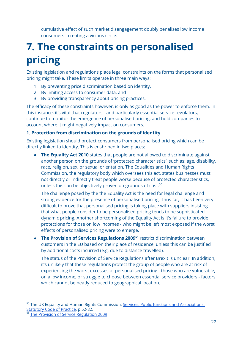cumulative effect of such market disengagement doubly penalises low income consumers - creating a vicious circle.

# **7. The constraints on personalised pricing**

Existing legislation and regulations place legal constraints on the forms that personalised pricing might take. These limits operate in three main ways:

- 1. By preventing price discrimination based on identity,
- 2. By limiting access to consumer data, and
- 3. By providing transparency about pricing practices.

The efficacy of these constraints however, is only as good as the power to enforce them. In this instance, it's vital that regulators - and particularly essential service regulators, continue to monitor the emergence of personalised pricing, and hold companies to account where it might negatively impact on consumers.

### **1. Protection from discrimination on the grounds of identity**

Existing legislation should protect consumers from personalised pricing which can be directly linked to identity. This is enshrined in two places:

**● The Equality Act 2010** states that people are not allowed to discriminate against another person on the grounds of 'protected characteristics', such as: age, disability, race, religion, sex, or sexual orientation. The Equalities and Human Rights Commission, the regulatory body which oversees this act, states businesses must not directly or indirectly treat people worse because of protected characteristics, unless this can be objectively proven on grounds of cost. 50

The challenge posed by the the Equality Act is the need for legal challenge and strong evidence for the presence of personalised pricing. Thus far, it has been very difficult to prove that personalised pricing is taking place with suppliers insisting that what people consider to be personalised pricing tends to be sophisticated dynamic pricing. Another shortcoming of the Equality Act is it's failure to provide protections for those on low incomes - who might be left most exposed if the worst effects of personalised pricing were to emerge.

● **The Provision of Services Regulations 2009** restrict discrimination between **51** customers in the EU based on their place of residence, unless this can be justified by additional costs incurred (e.g. due to distance travelled).

The status of the Provision of Service Regulations after Brexit is unclear. In addition, it's unlikely that these regulations protect the group of people who are at risk of experiencing the worst excesses of personalised pricing - those who are vulnerable, on a low income, or struggle to choose between essential service providers - factors which cannot be neatly reduced to geographical location.

<sup>50</sup> The UK Equality and Human Rights Commission, Services, Public functions and [Associations:](https://www.equalityhumanrights.com/sites/default/files/servicescode_0.pdf) [Statutory](https://www.equalityhumanrights.com/sites/default/files/servicescode_0.pdf) Code of Practice, p.52-82.

<sup>51</sup> The Provision of Service [Regulation](http://www.legislation.gov.uk/uksi/2009/2999/pdfs/uksi_20092999_en.pdf) 2009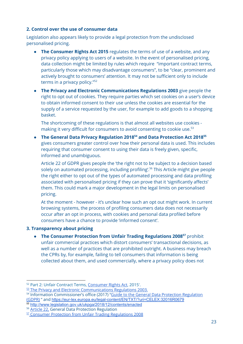#### **2. Control over the use of consumer data**

Legislation also appears likely to provide a legal protection from the undisclosed personalised pricing.

- **The Consumer Rights Act 2015** regulates the terms of use of a website, and any privacy policy applying to users of a website. In the event of personalised pricing, data collection might be limited by rules which require "important contract terms, particularly those which may disadvantage consumers", to be "clear, prominent and actively brought to consumers' attention. It may not be sufficient only to include terms in a privacy policy." 52
- **● The Privacy and Electronic Communications Regulations 2003** give people the right to opt out of cookies. They require parties which set cookies on a user's device to obtain informed consent to their use unless the cookies are essential for the supply of a service requested by the user, for example to add goods to a shopping basket.

The shortcoming of these regulations is that almost all websites use cookies making it very difficult for consumers to avoid consenting to cookie use.<sup>53</sup>

**● The General Data Privacy Regulation 2018 and Data Protection Act 2018 54 55** gives consumers greater control over how their personal data is used. This includes requiring that consumer consent to using their data is freely given, specific, informed and unambiguous.

Article 22 of GDPR gives people the 'the right not to be subject to a decision based solely on automated processing, including profiling'.<sup>56</sup> This Article might give people the right either to opt out of the types of automated processing and data profiling associated with personalised pricing if they can prove that it 'significantly affects' them. This could mark a major development in the legal limits on personalised pricing.

At the moment - however - it's unclear how such an opt out might work. In current browsing systems, the process of profiling consumers data does not necessarily occur after an opt in process, with cookies and personal data profiled before consumers have a chance to provide 'informed consent'.

### **3. Transparency about pricing**

• The Consumer Protection from Unfair Trading Regulations 2008<sup>57</sup> prohibit unfair commercial practices which distort consumers' transactional decisions, as well as a number of practices that are prohibited outright. A business may breach the CPRs by, for example, failing to tell consumers that information is being collected about them, and used commercially, where a privacy policy does not

<sup>52</sup> Part 2: Unfair Contract Terms, [Consumer](http://www.legislation.gov.uk/ukpga/2015/15/part/2/enacted) Rights Act, 2015'.

<sup>53</sup> The Privacy and Electronic [Communications](http://www.legislation.gov.uk/uksi/2003/2426/contents/made) Regulations 2003.

<sup>&</sup>lt;sup>54</sup> Information Commissioner's office (2017) "Guide to the General Data Protection [Regulation](https://ico.org.uk/media/for-organisations/guide-to-the-general-data-protection-regulation-gdpr-1-0.pdf) [\(GDPR\)](https://ico.org.uk/media/for-organisations/guide-to-the-general-data-protection-regulation-gdpr-1-0.pdf) " [a](https://ico.org.uk/media/for-organisations/guide-to-the-general-data-protection-regulation-gdpr-1-0.pdf)nd <https://eur-lex.europa.eu/legal-content/EN/TXT/?uri=CELEX:32016R0679>

<sup>55</sup> <http://www.legislation.gov.uk/ukpga/2018/12/contents/enacted>

<sup>56</sup> [Article](http://www.privacy-regulation.eu/en/article-22-automated-individual-decision-making-including-profiling-GDPR.htm) 22, General Data Protection Regulation

<sup>57</sup> Consumer Protection from Unfair Trading [Regulations](https://www.businesscompanion.info/printpdf/en/quick-guides/good-practice/consumer-protection-from-unfair-trading) 2008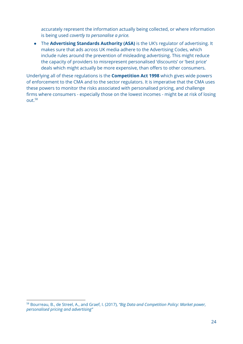accurately represent the information actually being collected, or where information is being used *covertly to personalise a price.*

● The **Advertising Standards Authority (ASA)** is the UK's regulator of advertising. It makes sure that ads across UK media adhere to the Advertising Codes, which include rules around the prevention of misleading advertising. This might reduce the capacity of providers to misrepresent personalised 'discounts' or 'best price' deals which might actually be more expensive, than offers to other consumers.

Underlying all of these regulations is the **Competition Act 1998** which gives wide powers of enforcement to the CMA and to the sector regulators. It is imperative that the CMA uses these powers to monitor the risks associated with personalised pricing, and challenge firms where consumers - especially those on the lowest incomes - might be at risk of losing out. 58

<sup>58</sup> Bourreau, B., de Streel, A., and Graef, I. (2017), *"Big Data and Competition Policy: Market power, personalised pricing and advertising"*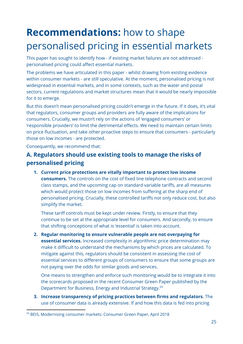# **Recommendations:** how to shape personalised pricing in essential markets

This paper has sought to identify how - if existing market failures are not addressed personalised pricing could affect essential markets.

The problems we have articulated in this paper - whilst drawing from existing evidence within consumer markets - are still speculative. At the moment, personalised pricing is not widespread in essential markets, and in some contexts, such as the water and postal sectors, current regulations and market structures mean that it would be nearly impossible for it to emerge.

But this doesn't mean personalised pricing couldn't emerge in the future. If it does, it's vital that regulators, consumer groups and providers are fully aware of the implications for consumers. Crucially, we mustn't rely on the actions of 'engaged consumers' or 'responsible providers' to limit the detrimental effects. We need to maintain certain limits on price fluctuation, and take other proactive steps to ensure that consumers - particularly those on low incomes - are protected.

Consequently, we recommend that:

### **A. Regulators should use existing tools to manage the risks of personalised pricing**

**1. Current price protections are vitally important to protect low income consumers.** The controls on the cost of fixed line telephone contracts and second class stamps, and the upcoming cap on standard variable tariffs, are all measures which would protect those on low incomes from suffering at the sharp end of personalised pricing. Crucially, these controlled tariffs not only reduce cost, but also simplify the market.

These tariff controls must be kept under review. Firstly, to ensure that they continue to be set at the appropriate level for consumers. And secondly, to ensure that shifting conceptions of what is 'essential' is taken into account.

**2. Regular monitoring to ensure vulnerable people are not overpaying for essential services.** Increased complexity in algorithmic price determination may make it difficult to understand the mechanisms by which prices are calculated. To mitigate against this, regulators should be consistent in assessing the cost of essential services to different groups of consumers to ensure that some groups are not paying over the odds for similar goods and services.

One means to strengthen and enforce such monitoring would be to integrate it into the scorecards proposed in the recent Consumer Green Paper published by the Department for Business, Energy and Industrial Strategy. 59

**3. Increase transparency of pricing practices between firms and regulators.** The use of consumer data is already extensive. If and how this data is fed into pricing

<sup>59</sup> BEIS, Modernising consumer markets: Consumer Green Paper, April 2018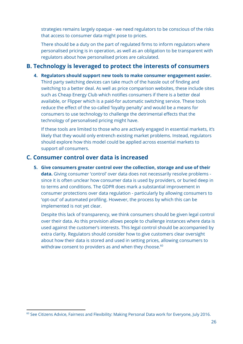strategies remains largely opaque - we need regulators to be conscious of the risks that access to consumer data might pose to prices.

There should be a duty on the part of regulated firms to inform regulators where personalised pricing is in operation, as well as an obligation to be transparent with regulators about how personalised prices are calculated.

### **B. Technology is leveraged to protect the interests of consumers**

**4. Regulators should support new tools to make consumer engagement easier.** Third party switching devices can take much of the hassle out of finding and switching to a better deal. As well as price comparison websites, these include sites such as Cheap Energy Club which notifies consumers if there is a better deal available, or Flipper which is a paid-for automatic switching service. These tools reduce the effect of the so-called 'loyalty penalty' and would be a means for consumers to use technology to challenge the detrimental effects that the technology of personalised pricing might have.

If these tools are limited to those who are actively engaged in essential markets, it's likely that they would only entrench existing market problems. Instead, regulators should explore how this model could be applied across essential markets to support *all* consumers.

### **C. Consumer control over data is increased**

**5. Give consumers greater control over the collection, storage and use of their data.** Giving consumer 'control' over data does not necessarily resolve problems since it is often unclear how consumer data is used by providers, or buried deep in to terms and conditions. The GDPR does mark a substantial improvement in consumer protections over data regulation - particularly by allowing consumers to 'opt-out' of automated profiling. However, the process by which this can be implemented is not yet clear.

Despite this lack of transparency, we think consumers should be given legal control over their data. As this provision allows people to challenge instances where data is used against the customer's interests. This legal control should be accompanied by extra clarity. Regulators should consider how to give customers clear oversight about how their data is stored and used in setting prices, allowing consumers to withdraw consent to providers as and when they choose. $^{\rm 60}$ 

<sup>&</sup>lt;sup>60</sup> See Citizens Advice, Fairness and Flexibility: Making Personal Data work for Everyone, July 2016.